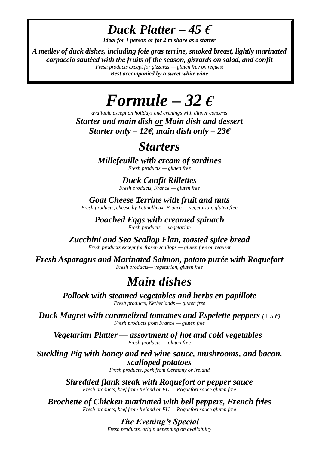*Duck Platter*  $-45 \text{ } \epsilon$ 

*Ideal for 1 person or for 2 to share as a starter*

*A medley of duck dishes, including foie gras terrine, smoked breast, lightly marinated carpaccio sautéed with the fruits of the season, gizzards on salad, and confit Fresh products except for gizzards — gluten free on request*

*Best accompanied by a sweet white wine*

## *Formule* – 32 $\epsilon$

*available except on holidays and evenings with dinner concerts Starter and main dish or Main dish and dessert Starter only – 12* $\epsilon$ *, main dish only – 23* $\epsilon$ 

### *Starters*

*Millefeuille with cream of sardines Fresh products — gluten free*

> *Duck Confit Rillettes Fresh products, France — gluten free*

*Goat Cheese Terrine with fruit and nuts Fresh products, cheese by Lethiellieux, France — vegetarian, gluten free*

*Poached Eggs with creamed spinach Fresh products — vegetarian*

*Zucchini and Sea Scallop Flan, toasted spice bread Fresh products except for frozen scallops — gluten free on request*

*Fresh Asparagus and Marinated Salmon, potato purée with Roquefort Fresh products— vegetarian, gluten free*

## *Main dishes*

*Pollock with steamed vegetables and herbs en papillote Fresh products, Netherlands — gluten free*

*Duck Magret with caramelized tomatoes and Espelette peppers (+ 5 €) Fresh products from France — gluten free*

*Vegetarian Platter — assortment of hot and cold vegetables Fresh products — gluten free*

*Suckling Pig with honey and red wine sauce, mushrooms, and bacon, scalloped potatoes*

*Fresh products, pork from Germany or Ireland*

*Shredded flank steak with Roquefort or pepper sauce Fresh products, beef from Ireland or EU — Roquefort sauce gluten free*

*Brochette of Chicken marinated with bell peppers, French fries Fresh products, beef from Ireland or EU — Roquefort sauce gluten free*

> *The Evening's Special Fresh products, origin depending on availability*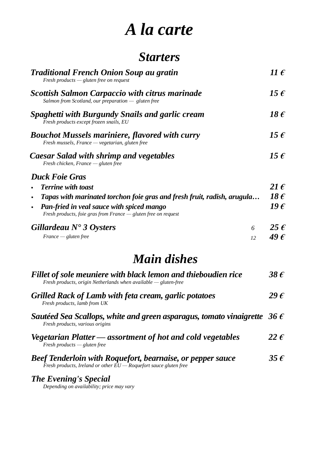# *A la carte*

## *Starters*

| <b>Traditional French Onion Soup au gratin</b><br>Fresh products $-\rho$ gluten free on request                      |                 |  |
|----------------------------------------------------------------------------------------------------------------------|-----------------|--|
| <b>Scottish Salmon Carpaccio with citrus marinade</b><br>Salmon from Scotland, our preparation $-$ gluten free       | 15 $\epsilon$   |  |
| Spaghetti with Burgundy Snails and garlic cream<br>Fresh products except frozen snails, EU                           | 18 $\epsilon$   |  |
| <b>Bouchot Mussels mariniere, flavored with curry</b><br>Fresh mussels, France — vegetarian, gluten free             | 15 $\epsilon$   |  |
| Caesar Salad with shrimp and vegetables<br>Fresh chicken, France $-$ gluten free                                     | 15 $\epsilon$   |  |
| <b>Duck Foie Gras</b>                                                                                                |                 |  |
| <b>Terrine with toast</b>                                                                                            |                 |  |
| Tapas with marinated torchon foie gras and fresh fruit, radish, arugula<br>$\blacksquare$                            |                 |  |
| <b>Pan-fried in veal sauce with spiced mango</b><br>Fresh products, foie gras from France $-$ gluten free on request | 19 <sub>f</sub> |  |
| Gillardeau $N^{\bullet}$ 3 Oysters<br>6                                                                              |                 |  |
| $France - gluten free$<br>12                                                                                         | 49 E            |  |

## *Main dishes*

| Fillet of sole meuniere with black lemon and thieboudien rice<br>Fresh products, origin Netherlands when available $-$ gluten-free       |               |
|------------------------------------------------------------------------------------------------------------------------------------------|---------------|
| <b>Grilled Rack of Lamb with feta cream, garlic potatoes</b><br>Fresh products, lamb from UK                                             | 29 $\epsilon$ |
| Sautéed Sea Scallops, white and green asparagus, tomato vinaigrette 36 $\epsilon$<br>Fresh products, various origins                     |               |
| Vegetarian Platter — assortment of hot and cold vegetables<br>Fresh products $-\rho$ gluten free                                         | 22 $\epsilon$ |
| <b>Beef Tenderloin with Roquefort, bearnaise, or pepper sauce</b><br>Fresh products, Ireland or other $EU - Roquefort$ sauce gluten free | 35 $\epsilon$ |

#### *The Evening's Special*

*Depending on availability; price may vary*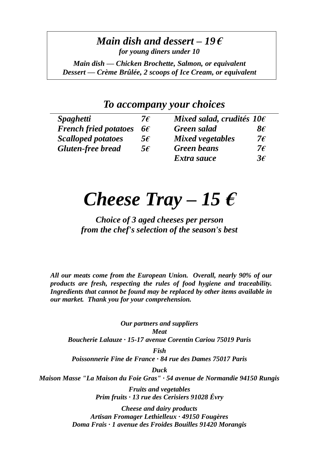#### *Main dish and dessert – 19 € for young diners under 10*

*Main dish — Chicken Brochette, Salmon, or equivalent Dessert — Crème Brûlée, 2 scoops of Ice Cream, or equivalent*

#### *To accompany your choices*

| <i>Spaghetti</i>             | 7 $\epsilon$ | Mixed salad, crudités $10\epsilon$ |              |
|------------------------------|--------------|------------------------------------|--------------|
| <b>French fried potatoes</b> | $6\epsilon$  | <b>Green</b> salad                 | $8\epsilon$  |
| <b>Scalloped potatoes</b>    | $5\epsilon$  | Mixed vegetables                   | 7 $\epsilon$ |
| <b>Gluten-free bread</b>     | $5\epsilon$  | <b>Green beans</b>                 | 7€           |
|                              |              | Extra sauce                        | $3\epsilon$  |

# *Cheese Tray – 15 €*

*Choice of 3 aged cheeses per person from the chef's selection of the season's best*

*All our meats come from the European Union. Overall, nearly 90% of our products are fresh, respecting the rules of food hygiene and traceability. Ingredients that cannot be found may be replaced by other items available in our market. Thank you for your comprehension.*

*Our partners and suppliers Meat Boucherie Lalauze · 15-17 avenue Corentin Cariou 75019 Paris*

*Fish Poissonnerie Fine de France · 84 rue des Dames 75017 Paris*

*Duck*

*Maison Masse "La Maison du Foie Gras" · 54 avenue de Normandie 94150 Rungis* 

*Fruits and vegetables Prim fruits · 13 rue des Cerisiers 91028 Évry*

*Cheese and dairy products Artisan Fromager Lethielleux · 49150 Fougères Doma Frais · 1 avenue des Froides Bouilles 91420 Morangis*